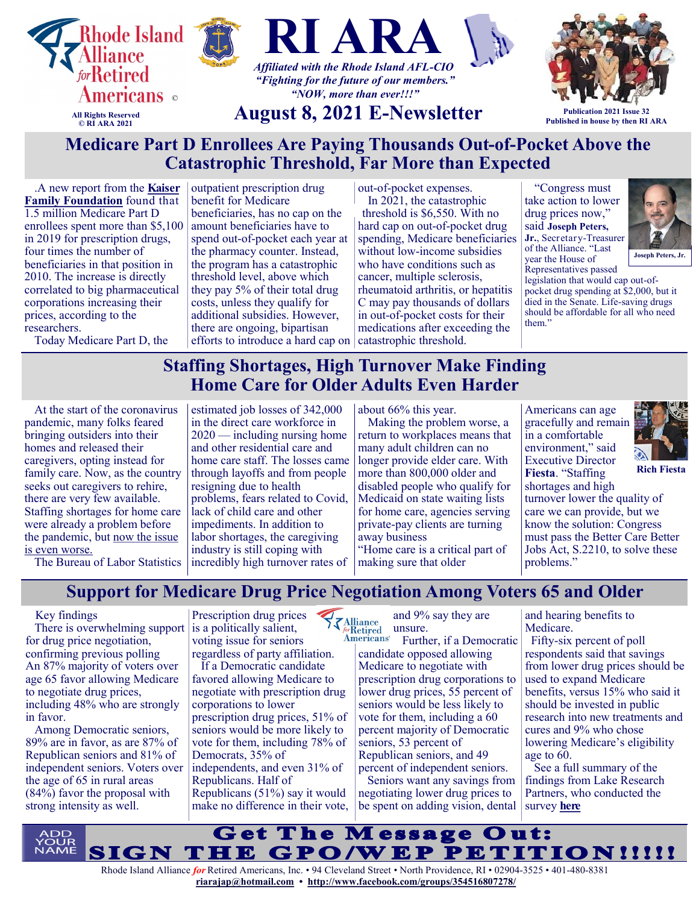

.A new report from the **[Kaiser](https://na01.safelinks.protection.outlook.com/?url=https%3A%2F%2Fu1584542.ct.sendgrid.net%2Fss%2Fc%2FatcYNHk4Eh2YdGnwBh-YDPvn3hEe9INeEKChwzt2WN41BWl66dAyRBuFoLsy8siZd18TCE0g8FhPNNfkLWD_Ub1TxrY43QLVnY6aBqs0VuoJDnI3L5GIBNyRQymrwJWpncM_U3SRcf0TnJOroXBsy8gxNxRwBe)  [Family Foundation](https://na01.safelinks.protection.outlook.com/?url=https%3A%2F%2Fu1584542.ct.sendgrid.net%2Fss%2Fc%2FatcYNHk4Eh2YdGnwBh-YDPvn3hEe9INeEKChwzt2WN41BWl66dAyRBuFoLsy8siZd18TCE0g8FhPNNfkLWD_Ub1TxrY43QLVnY6aBqs0VuoJDnI3L5GIBNyRQymrwJWpncM_U3SRcf0TnJOroXBsy8gxNxRwBe)** found that 1.5 million Medicare Part D enrollees spent more than \$5,100 in 2019 for prescription drugs, four times the number of beneficiaries in that position in 2010. The increase is directly correlated to big pharmaceutical corporations increasing their prices, according to the researchers.

Today Medicare Part D, the

outpatient prescription drug benefit for Medicare beneficiaries, has no cap on the amount beneficiaries have to spend out-of-pocket each year at the pharmacy counter. Instead, the program has a catastrophic threshold level, above which they pay 5% of their total drug costs, unless they qualify for additional subsidies. However, there are ongoing, bipartisan efforts to introduce a hard cap on catastrophic threshold.

out-of-pocket expenses. In 2021, the catastrophic

threshold is \$6,550. With no hard cap on out-of-pocket drug spending, Medicare beneficiaries without low-income subsidies who have conditions such as cancer, multiple sclerosis, rheumatoid arthritis, or hepatitis C may pay thousands of dollars in out-of-pocket costs for their medications after exceeding the

"Congress must take action to lower drug prices now," said **Joseph Peters, Jr.**, Secretary-Treasurer of the Alliance. "Last year the House of



Representatives passed legislation that would cap out-ofpocket drug spending at \$2,000, but it died in the Senate. Life-saving drugs should be affordable for all who need them."

## **Staffing Shortages, High Turnover Make Finding Home Care for Older Adults Even Harder**

At the start of the coronavirus pandemic, many folks feared bringing outsiders into their homes and released their caregivers, opting instead for family care. Now, as the country seeks out caregivers to rehire, there are very few available. Staffing shortages for home care were already a problem before the pandemic, but [now the issue](https://na01.safelinks.protection.outlook.com/?url=https%3A%2F%2Fu1584542.ct.sendgrid.net%2Fss%2Fc%2FatcYNHk4Eh2YdGnwBh-YDGlyFEPfIQqTPhAJ7ICxnKEdI_uQjD1SP9UzyJR0nf4bF63yAzP8UYx0SMM2qELYyui2RGZgX25dlaoUfkuTAeZMbRqZMQOYXMGrbblHiADC32IcflJXog7hzgUK-3NUjYAmRRBoFc)  [is even worse.](https://na01.safelinks.protection.outlook.com/?url=https%3A%2F%2Fu1584542.ct.sendgrid.net%2Fss%2Fc%2FatcYNHk4Eh2YdGnwBh-YDGlyFEPfIQqTPhAJ7ICxnKEdI_uQjD1SP9UzyJR0nf4bF63yAzP8UYx0SMM2qELYyui2RGZgX25dlaoUfkuTAeZMbRqZMQOYXMGrbblHiADC32IcflJXog7hzgUK-3NUjYAmRRBoFc)

estimated job losses of 342,000 in the direct care workforce in 2020 — including nursing home and other residential care and home care staff. The losses came through layoffs and from people resigning due to health problems, fears related to Covid, lack of child care and other impediments. In addition to labor shortages, the caregiving industry is still coping with incredibly high turnover rates of

about 66% this year.

Making the problem worse, a return to workplaces means that many adult children can no longer provide elder care. With more than 800,000 older and disabled people who qualify for Medicaid on state waiting lists for home care, agencies serving private-pay clients are turning away business "Home care is a critical part of

Americans can age gracefully and remain in a comfortable environment," said Executive Director **Fiesta**. "Staffing



**Rich Fiesta**

shortages and high turnover lower the quality of care we can provide, but we know the solution: Congress must pass the Better Care Better Jobs Act, S.2210, to solve these problems."

The Bureau of Labor Statistics

making sure that older

**Support for Medicare Drug Price Negotiation Among Voters 65 and Older**

### Key findings

 There is overwhelming support for drug price negotiation, confirming previous polling An 87% majority of voters over age 65 favor allowing Medicare to negotiate drug prices, including 48% who are strongly in favor.

 Among Democratic seniors, 89% are in favor, as are 87% of Republican seniors and 81% of independent seniors. Voters over the age of 65 in rural areas (84%) favor the proposal with strong intensity as well.

Prescription drug prices is a politically salient, voting issue for seniors regardless of party affiliation.

 If a Democratic candidate favored allowing Medicare to negotiate with prescription drug corporations to lower prescription drug prices, 51% of seniors would be more likely to vote for them, including 78% of Democrats, 35% of independents, and even 31% of Republicans. Half of Republicans (51%) say it would make no difference in their vote,

and 9% say they are **KAlliance** unsure.

**Americans**<sup>®</sup> Further, if a Democratic candidate opposed allowing Medicare to negotiate with prescription drug corporations to lower drug prices, 55 percent of seniors would be less likely to vote for them, including a 60 percent majority of Democratic seniors, 53 percent of Republican seniors, and 49 percent of independent seniors.

 Seniors want any savings from negotiating lower drug prices to be spent on adding vision, dental and hearing benefits to Medicare.

 Fifty-six percent of poll respondents said that savings from lower drug prices should be used to expand Medicare benefits, versus 15% who said it should be invested in public research into new treatments and cures and 9% who chose lowering Medicare's eligibility age to 60.

 See a full summary of the findings from Lake Research Partners, who conducted the survey **[here](http://www.ri-ara.org/2021medicaredrug.pdf)**



**[riarajap@hotmail.com](mailto:riarajap@hotmail.com) • [http://www.facebook.com/groups/354516807278/](https://www.facebook.com/groups/354516807278/)**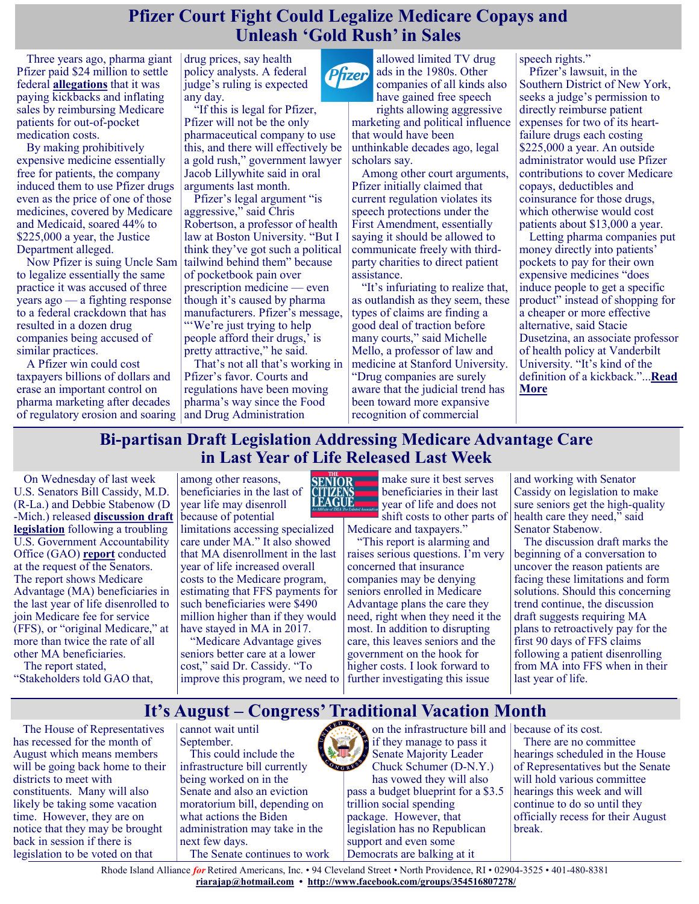## **Pfizer Court Fight Could Legalize Medicare Copays and Unleash 'Gold Rush' in Sales**

Three years ago, pharma giant Pfizer paid \$24 million to settle federal **[allegations](https://www.usatoday.com/story/news/politics/2018/05/24/pfizer-settles-medicare-drug-copay-assistance-kickback-charges/641736002/)** that it was paying kickbacks and inflating sales by reimbursing Medicare patients for out-of-pocket medication costs.

By making prohibitively expensive medicine essentially free for patients, the company induced them to use Pfizer drugs even as the price of one of those medicines, covered by Medicare and Medicaid, soared 44% to \$225,000 a year, the Justice Department alleged.

Now Pfizer is suing Uncle Sam to legalize essentially the same practice it was accused of three years ago — a fighting response to a federal crackdown that has resulted in a dozen drug companies being accused of similar practices.

A Pfizer win could cost taxpayers billions of dollars and erase an important control on pharma marketing after decades of regulatory erosion and soaring

drug prices, say health policy analysts. A federal judge's ruling is expected any day.

"If this is legal for Pfizer, Pfizer will not be the only pharmaceutical company to use this, and there will effectively be a gold rush," government lawyer Jacob Lillywhite said in oral arguments last month.

Pfizer's legal argument "is aggressive," said Chris Robertson, a professor of health law at Boston University. "But I think they've got such a political tailwind behind them" because of pocketbook pain over prescription medicine — even though it's caused by pharma manufacturers. Pfizer's message, "We're just trying to help people afford their drugs,' is pretty attractive," he said.

That's not all that's working in Pfizer's favor. Courts and regulations have been moving pharma's way since the Food and Drug Administration

allowed limited TV drug Pfizer ads in the 1980s. Other companies of all kinds also have gained free speech rights allowing aggressive

marketing and political influence that would have been unthinkable decades ago, legal scholars say.

Among other court arguments, Pfizer initially claimed that current regulation violates its speech protections under the First Amendment, essentially saying it should be allowed to communicate freely with thirdparty charities to direct patient assistance.

"It's infuriating to realize that, as outlandish as they seem, these types of claims are finding a good deal of traction before many courts," said Michelle Mello, a professor of law and medicine at Stanford University. "Drug companies are surely aware that the judicial trend has been toward more expansive recognition of commercial

speech rights."

Pfizer's lawsuit, in the Southern District of New York, seeks a judge's permission to directly reimburse patient expenses for two of its heartfailure drugs each costing \$225,000 a year. An outside administrator would use Pfizer contributions to cover Medicare copays, deductibles and coinsurance for those drugs, which otherwise would cost patients about \$13,000 a year.

Letting pharma companies put money directly into patients' pockets to pay for their own expensive medicines "does induce people to get a specific product" instead of shopping for a cheaper or more effective alternative, said Stacie Dusetzina, an associate professor of health policy at Vanderbilt University. "It's kind of the definition of a kickback."...**[Read](https://khn.org/news/article/pfizer-court-fight-could-legalize-medicare-copays-and-unleash-gold-rush-in-sales/)  [More](https://khn.org/news/article/pfizer-court-fight-could-legalize-medicare-copays-and-unleash-gold-rush-in-sales/)**

## **Bi-partisan Draft Legislation Addressing Medicare Advantage Care in Last Year of Life Released Last Week**

On Wednesday of last week U.S. Senators Bill Cassidy, M.D. (R-La.) and Debbie Stabenow (D -Mich.) released **[discussion draft](https://www.cassidy.senate.gov/download/medicare-advantage)  [legislation](https://www.cassidy.senate.gov/download/medicare-advantage)** following a troubling U.S. Government Accountability Office (GAO) **[report](https://www.gao.gov/products/gao-21-482)** conducted at the request of the Senators. The report shows Medicare Advantage (MA) beneficiaries in the last year of life disenrolled to join Medicare fee for service (FFS), or "original Medicare," at more than twice the rate of all other MA beneficiaries.

The report stated, "Stakeholders told GAO that,

legislation to be voted on that

among other reasons, beneficiaries in the last of year life may disenroll because of potential

limitations accessing specialized care under MA." It also showed that MA disenrollment in the last year of life increased overall costs to the Medicare program, estimating that FFS payments for such beneficiaries were \$490 million higher than if they would have stayed in MA in 2017.

"Medicare Advantage gives seniors better care at a lower cost," said Dr. Cassidy. "To improve this program, we need to



make sure it best serves beneficiaries in their last year of life and does not shift costs to other parts of

Medicare and taxpayers." "This report is alarming and raises serious questions. I'm very concerned that insurance companies may be denying seniors enrolled in Medicare Advantage plans the care they need, right when they need it the most. In addition to disrupting care, this leaves seniors and the government on the hook for higher costs. I look forward to further investigating this issue

and working with Senator Cassidy on legislation to make sure seniors get the high-quality health care they need," said Senator Stabenow.

The discussion draft marks the beginning of a conversation to uncover the reason patients are facing these limitations and form solutions. Should this concerning trend continue, the discussion draft suggests requiring MA plans to retroactively pay for the first 90 days of FFS claims following a patient disenrolling from MA into FFS when in their last year of life.

## **It's August – Congress' Traditional Vacation Month**

The House of Representatives has recessed for the month of August which means members will be going back home to their districts to meet with constituents. Many will also likely be taking some vacation time. However, they are on notice that they may be brought back in session if there is

cannot wait until September.

This could include the infrastructure bill currently being worked on in the Senate and also an eviction moratorium bill, depending on what actions the Biden administration may take in the next few days. The Senate continues to work

on the infrastructure bill and because of its cost. if they manage to pass it Senate Majority Leader Chuck Schumer (D-N.Y.) has vowed they will also pass a budget blueprint for a \$3.5 trillion social spending package. However, that legislation has no Republican support and even some Democrats are balking at it

There are no committee hearings scheduled in the House of Representatives but the Senate will hold various committee hearings this week and will continue to do so until they officially recess for their August break.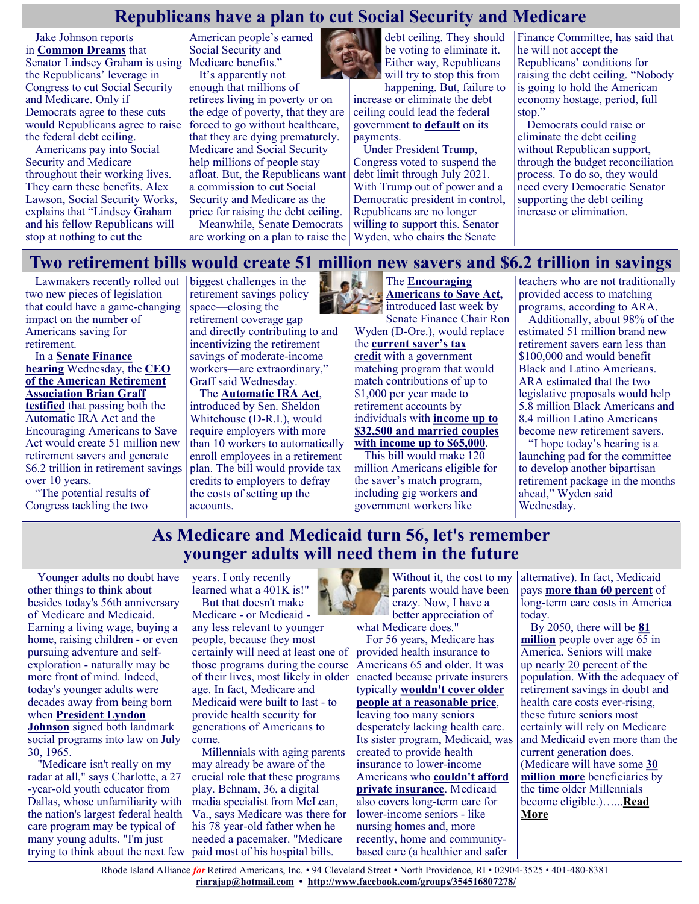# **Republicans have a plan to cut Social Security and Medicare**

Jake Johnson reports in **[Common Dreams](https://www.commondreams.org/news/2021/07/21/democrats-urged-reject-latest-gop-attempt-hold-social-security-hostage)** that Senator Lindsey Graham is using Medicare benefits." the Republicans' leverage in Congress to cut Social Security and Medicare. Only if Democrats agree to these cuts would Republicans agree to raise forced to go without healthcare, the federal debt ceiling.

Americans pay into Social Security and Medicare throughout their working lives. They earn these benefits. Alex Lawson, Social Security Works, explains that "Lindsey Graham and his fellow Republicans will stop at nothing to cut the

American people's earned Social Security and It's apparently not

enough that millions of retirees living in poverty or on the edge of poverty, that they are that they are dying prematurely. Medicare and Social Security help millions of people stay afloat. But, the Republicans want a commission to cut Social Security and Medicare as the price for raising the debt ceiling.

Meanwhile, Senate Democrats

debt ceiling. They should be voting to eliminate it. Either way, Republicans will try to stop this from

happening. But, failure to increase or eliminate the debt ceiling could lead the federal government to **[default](https://www.reuters.com/world/us/every-time-its-messy-us-again-approaching-debt-ceiling-2021-07-21/)** on its payments.

are working on a plan to raise the Wyden, who chairs the Senate Under President Trump, Congress voted to suspend the debt limit through July 2021. With Trump out of power and a Democratic president in control, Republicans are no longer willing to support this. Senator

Finance Committee, has said that he will not accept the Republicans' conditions for raising the debt ceiling. "Nobody is going to hold the American economy hostage, period, full stop."

Democrats could raise or eliminate the debt ceiling without Republican support, through the budget reconciliation process. To do so, they would need every Democratic Senator supporting the debt ceiling increase or elimination.

### **Two retirement bills would create 51 million new savers and \$6.2 trillion in savings**

Lawmakers recently rolled out two new pieces of legislation that could have a game-changing impact on the number of Americans saving for retirement.

### In a **[Senate Finance](https://www.finance.senate.gov/hearings/building-on-bipartisan-retirement-legislation-how-can-congress-help)  [hearing](https://www.finance.senate.gov/hearings/building-on-bipartisan-retirement-legislation-how-can-congress-help)** Wednesday, the **[CEO](https://www.finance.senate.gov/imo/media/doc/21.07.22%20Brian%20Graff%20Written%20Testimony%20for%20SFC%20Hearing%20on%20Retirement.pdf)  [of the American Retirement](https://www.finance.senate.gov/imo/media/doc/21.07.22%20Brian%20Graff%20Written%20Testimony%20for%20SFC%20Hearing%20on%20Retirement.pdf)  [Association Brian Graff](https://www.finance.senate.gov/imo/media/doc/21.07.22%20Brian%20Graff%20Written%20Testimony%20for%20SFC%20Hearing%20on%20Retirement.pdf)**

**[testified](https://www.finance.senate.gov/imo/media/doc/21.07.22%20Brian%20Graff%20Written%20Testimony%20for%20SFC%20Hearing%20on%20Retirement.pdf)** that passing both the Automatic IRA Act and the Encouraging Americans to Save Act would create 51 million new retirement savers and generate \$6.2 trillion in retirement savings over 10 years.

"The potential results of Congress tackling the two

biggest challenges in the retirement savings policy space—closing the retirement coverage gap and directly contributing to and incentivizing the retirement savings of moderate-income workers—are extraordinary," Graff said Wednesday.

The **[Automatic IRA Act](https://www.whitehouse.senate.gov/news/release/whitehouse-introduces-bill-to-help-americans-save-for-retirement)**, introduced by Sen. Sheldon Whitehouse (D-R.I.), would require employers with more than 10 workers to automatically enroll employees in a retirement plan. The bill would provide tax credits to employers to defray the costs of setting up the accounts.



introduced last week by Senate Finance Chair Ron Wyden (D-Ore.), would replace the **[current saver's tax](https://www.irs.gov/retirement-plans/plan-participant-employee/retirement-savings-contributions-savers-credit)**  [credit](https://www.irs.gov/retirement-plans/plan-participant-employee/retirement-savings-contributions-savers-credit) with a government

matching program that would match contributions of up to \$1,000 per year made to retirement accounts by individuals with **[income up to](https://www.finance.senate.gov/imo/media/doc/one%20pager%20and%20section%20by%20section.pdf)  [\\$32,500 and married couples](https://www.finance.senate.gov/imo/media/doc/one%20pager%20and%20section%20by%20section.pdf)  [with income up to \\$65,000](https://www.finance.senate.gov/imo/media/doc/one%20pager%20and%20section%20by%20section.pdf)**.

This bill would make 120 million Americans eligible for the saver's match program, including gig workers and government workers like

teachers who are not traditionally provided access to matching programs, according to ARA.

Additionally, about 98% of the estimated 51 million brand new retirement savers earn less than \$100,000 and would benefit Black and Latino Americans. ARA estimated that the two legislative proposals would help 5.8 million Black Americans and 8.4 million Latino Americans become new retirement savers.

"I hope today's hearing is a launching pad for the committee to develop another bipartisan retirement package in the months ahead," Wyden said Wednesday.

## **As Medicare and Medicaid turn 56, let's remember younger adults will need them in the future**

Younger adults no doubt have other things to think about besides today's 56th anniversary of Medicare and Medicaid. Earning a living wage, buying a home, raising children - or even pursuing adventure and selfexploration - naturally may be more front of mind. Indeed, today's younger adults were decades away from being born when **[President Lyndon](http://www.lbjlibrary.org/press/media-kit/medicare-and-medicaid)  [Johnson](http://www.lbjlibrary.org/press/media-kit/medicare-and-medicaid)** signed both landmark

social programs into law on July 30, 1965.

"Medicare isn't really on my radar at all," says Charlotte, a 27 -year-old youth educator from Dallas, whose unfamiliarity with the nation's largest federal health care program may be typical of many young adults. "I'm just trying to think about the next few

years. I only recently learned what a 401K is!" But that doesn't make

Medicare - or Medicaid any less relevant to younger people, because they most certainly will need at least one of those programs during the course of their lives, most likely in older age. In fact, Medicare and Medicaid were built to last - to provide health security for generations of Americans to come.

Millennials with aging parents may already be aware of the crucial role that these programs play. Behnam, 36, a digital media specialist from McLean, Va., says Medicare was there for his 78 year-old father when he needed a pacemaker. "Medicare paid most of his hospital bills.

Without it, the cost to my parents would have been crazy. Now, I have a better appreciation of what Medicare does."

For 56 years, Medicare has provided health insurance to Americans 65 and older. It was enacted because private insurers typically **[wouldn't cover older](https://www.newyorker.com/news/news-desk/medicare-made)  [people at a reasonable price](https://www.newyorker.com/news/news-desk/medicare-made)**, leaving too many seniors desperately lacking health care. Its sister program, Medicaid, was created to provide health insurance to lower-income Americans who **[couldn't afford](https://www.cbpp.org/research/health/introduction-to-medicaid)  [private insurance](https://www.cbpp.org/research/health/introduction-to-medicaid)**. Medicaid also covers long-term care for lower-income seniors - like nursing homes and, more recently, home and communitybased care (a healthier and safer

alternative). In fact, Medicaid pays **[more than 60 percent](https://www.thescanfoundation.org/sites/default/files/who_pays_for_ltc_us_jan_2013_fs.pdf)** of long-term care costs in America today.

By 2050, there will be **[81](https://www.pewresearch.org/hispanic/2008/02/11/us-population-projections-2005-2050/)  [million](https://www.pewresearch.org/hispanic/2008/02/11/us-population-projections-2005-2050/)** people over age 65 in America. Seniors will make up [nearly 20 percent](https://www.pewresearch.org/hispanic/2008/02/11/us-population-projections-2005-2050/) of the population. With the adequacy of retirement savings in doubt and health care costs ever-rising, these future seniors most certainly will rely on Medicare and Medicaid even more than the current generation does. (Medicare will have some **[30](https://www.kff.org/medicare/report/the-rising-cost-of-living-longer-analysis-of-medicare-spending-by-age-for-beneficiaries-in-traditional-medicare/view/footnotes/)  [million more](https://www.kff.org/medicare/report/the-rising-cost-of-living-longer-analysis-of-medicare-spending-by-age-for-beneficiaries-in-traditional-medicare/view/footnotes/)** beneficiaries by the time older Millennials become eligible.)…...**[Read](https://www.msn.com/en-us/news/politics/as-medicare-and-medicaid-turn-56-lets-remember-younger-adults-will-need-them-in-the-future/ar-AAMLiP5?ocid=BingNewsSearch)  [More](https://www.msn.com/en-us/news/politics/as-medicare-and-medicaid-turn-56-lets-remember-younger-adults-will-need-them-in-the-future/ar-AAMLiP5?ocid=BingNewsSearch)**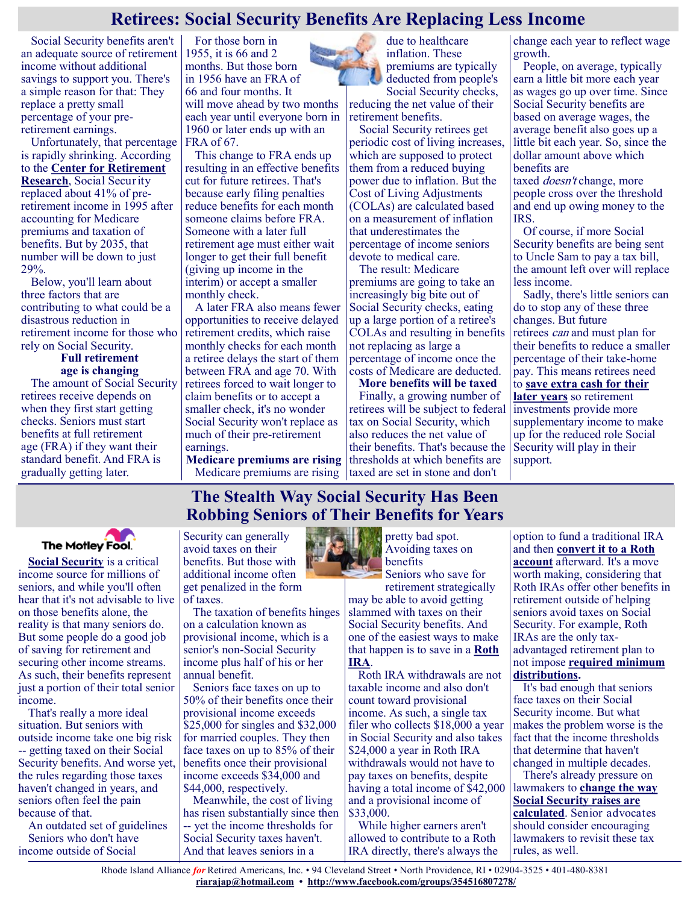### **Retirees: Social Security Benefits Are Replacing Less Income**

Social Security benefits aren't an adequate source of retirement income without additional savings to support you. There's a simple reason for that: They replace a pretty small percentage of your preretirement earnings.

Unfortunately, that percentage is rapidly shrinking. According to the **[Center for Retirement](https://crr.bc.edu/wp-content/uploads/2020/10/IB_20-14.pdf)  [Research](https://crr.bc.edu/wp-content/uploads/2020/10/IB_20-14.pdf)**, Social Security replaced about 41% of preretirement income in 1995 after accounting for Medicare premiums and taxation of benefits. But by 2035, that number will be down to just 29%.

Below, you'll learn about three factors that are contributing to what could be a disastrous reduction in retirement income for those who rely on Social Security.

**Full retirement age is changing** The amount of Social Security retirees receive depends on when they first start getting checks. Seniors must start benefits at [full retirement](https://www.fool.com/retirement/social-security/full-retirement-age/?utm_source=msnrss&utm_medium=feed&utm_campaign=article&referring_guid=a841bf08-3d1b-4cf2-b169-f371be7bab1f)  [age](https://www.fool.com/retirement/social-security/full-retirement-age/?utm_source=msnrss&utm_medium=feed&utm_campaign=article&referring_guid=a841bf08-3d1b-4cf2-b169-f371be7bab1f) (FRA) if they want their standard benefit. And FRA is gradually getting later.

For those born in 1955, it is 66 and 2 months. But those born in 1956 have an FRA of 66 and four months. It will move ahead by two months each year until everyone born in 1960 or later ends up with an FRA of 67.

This change to FRA ends up resulting in an effective benefits cut for future retirees. That's because early filing penalties reduce benefits for each month someone claims before FRA. Someone with a later full retirement age must either wait longer to get their full benefit (giving up income in the interim) or accept a smaller monthly check.

A later FRA also means fewer opportunities to receive delayed retirement credits, which raise monthly checks for each month a retiree delays the start of them between FRA and age 70. With retirees forced to wait longer to claim benefits or to accept a smaller check, it's no wonder Social Security won't replace as much of their pre-retirement earnings.

**Medicare premiums are rising**

due to healthcare inflation. These premiums are typically deducted from people's Social Security checks,

reducing the net value of their retirement benefits.

Social Security retirees get periodic cost of living increases, which are supposed to protect them from a reduced buying power due to inflation. But the Cost of Living Adjustments (COLAs) are calculated based on a measurement of inflation that underestimates the percentage of income seniors devote to medical care.

The result: Medicare premiums are going to take an increasingly big bite out of Social Security checks, eating up a large portion of a retiree's COLAs and resulting in benefits not replacing as large a percentage of income once the costs of Medicare are deducted.

Medicare premiums are rising | taxed are set in stone and don't **More benefits will be taxed** Finally, a growing number of retirees will be subject to federal tax on Social Security, which also reduces the net value of their benefits. That's because the thresholds at which benefits are

change each year to reflect wage growth.

People, on average, typically earn a little bit more each year as wages go up over time. Since Social Security benefits are based on average wages, the average benefit also goes up a little bit each year. So, since the dollar amount above which benefits are

taxed *doesn't* change, more people cross over the threshold and end up owing money to the IRS.

Of course, if more Social Security benefits are being sent to Uncle Sam to pay a tax bill, the amount left over will replace less income.

Sadly, there's little seniors can do to stop any of these three changes. But future retirees can and must plan for their benefits to reduce a smaller percentage of their take-home pay. This means retirees need to **[save extra cash for their](https://www.fool.com/investing/2021/07/22/4-low-effort-ways-to-double-retirement-savings/?utm_source=msnrss&utm_medium=feed&utm_campaign=article&referring_guid=a841bf08-3d1b-4cf2-b169-f371be7bab1f)** 

**[later years](https://www.fool.com/investing/2021/07/22/4-low-effort-ways-to-double-retirement-savings/?utm_source=msnrss&utm_medium=feed&utm_campaign=article&referring_guid=a841bf08-3d1b-4cf2-b169-f371be7bab1f)** so retirement investments provide more supplementary income to make up for the reduced role Social Security will play in their support.

### **The Stealth Way Social Security Has Been Robbing Seniors of Their Benefits for Years**

Security can generally avoid taxes on their benefits. But those with additional income often get penalized in the form of taxes.

The taxation of benefits hinges on a calculation known as provisional income, which is a senior's non-Social Security income plus half of his or her annual benefit.

Seniors face taxes on up to 50% of their benefits once their provisional income exceeds \$25,000 for singles and \$32,000 for married couples. They then face taxes on up to 85% of their benefits once their provisional income exceeds \$34,000 and \$44,000, respectively.

Meanwhile, the cost of living has risen substantially since then -- yet the income thresholds for Social Security taxes haven't. And that leaves seniors in a



pretty bad spot. Avoiding taxes on

Seniors who save for retirement strategically may be able to avoid getting slammed with taxes on their Social Security benefits. And one of the easiest ways to make that happen is to save in a **[Roth](https://www.fool.com/retirement/2021/07/15/can-you-use-a-roth-ira-as-your-emergency-fund/?utm_source=msnrss&utm_medium=feed&utm_campaign=article&referring_guid=656c06a6-9227-4f63-8be1-55e9b1a6c89d)  [IRA](https://www.fool.com/retirement/2021/07/15/can-you-use-a-roth-ira-as-your-emergency-fund/?utm_source=msnrss&utm_medium=feed&utm_campaign=article&referring_guid=656c06a6-9227-4f63-8be1-55e9b1a6c89d)**.

Roth IRA withdrawals are not taxable income and also don't count toward provisional income. As such, a single tax filer who collects \$18,000 a year in Social Security and also takes \$24,000 a year in Roth IRA withdrawals would not have to pay taxes on benefits, despite having a total income of \$42,000 and a provisional income of \$33,000.

While higher earners aren't allowed to contribute to a Roth IRA directly, there's always the

option to fund a traditional IRA and then **[convert it to a Roth](https://www.fool.com/retirement/plans/roth-ira/conversion/?utm_source=msnrss&utm_medium=feed&utm_campaign=article&referring_guid=656c06a6-9227-4f63-8be1-55e9b1a6c89d)  [account](https://www.fool.com/retirement/plans/roth-ira/conversion/?utm_source=msnrss&utm_medium=feed&utm_campaign=article&referring_guid=656c06a6-9227-4f63-8be1-55e9b1a6c89d)** afterward. It's a move worth making, considering that Roth IRAs offer other benefits in retirement outside of helping seniors avoid taxes on Social Security. For example, Roth IRAs are the only taxadvantaged retirement plan to not impose **[required minimum](https://www.fool.com/retirement/plans/ira/required-minimum-distributions/?utm_source=msnrss&utm_medium=feed&utm_campaign=article&referring_guid=656c06a6-9227-4f63-8be1-55e9b1a6c89d)  [distributions.](https://www.fool.com/retirement/plans/ira/required-minimum-distributions/?utm_source=msnrss&utm_medium=feed&utm_campaign=article&referring_guid=656c06a6-9227-4f63-8be1-55e9b1a6c89d)**

It's bad enough that seniors face taxes on their Social Security income. But what makes the problem worse is the fact that the income thresholds that determine that haven't changed in multiple decades.

There's already pressure on lawmakers to **[change the way](https://www.fool.com/retirement/2021/07/25/will-social-security-change-the-way-it-calculates/?utm_source=msnrss&utm_medium=feed&utm_campaign=article&referring_guid=656c06a6-9227-4f63-8be1-55e9b1a6c89d)  [Social Security raises are](https://www.fool.com/retirement/2021/07/25/will-social-security-change-the-way-it-calculates/?utm_source=msnrss&utm_medium=feed&utm_campaign=article&referring_guid=656c06a6-9227-4f63-8be1-55e9b1a6c89d)  [calculated](https://www.fool.com/retirement/2021/07/25/will-social-security-change-the-way-it-calculates/?utm_source=msnrss&utm_medium=feed&utm_campaign=article&referring_guid=656c06a6-9227-4f63-8be1-55e9b1a6c89d)**. Senior advocates should consider encouraging lawmakers to revisit these tax rules, as well.

Rhode Island Alliance *for* Retired Americans, Inc. • 94 Cleveland Street • North Providence, RI • 02904-3525 • 401-480-8381 **[riarajap@hotmail.com](mailto:riarajap@hotmail.com) • [http://www.facebook.com/groups/354516807278/](https://www.facebook.com/groups/354516807278/)**



**[Social Security](https://www.fool.com/retirement/social-security/?utm_source=msnrss&utm_medium=feed&utm_campaign=article&referring_guid=656c06a6-9227-4f63-8be1-55e9b1a6c89d)** is a critical income source for millions of seniors, and while you'll often hear that it's not advisable to live on those benefits alone, the reality is that many seniors do. But some people do a good job of saving for retirement and securing other income streams. As such, their benefits represent just a portion of their total senior income.

That's really a more ideal situation. But seniors with outside income take one big risk -- getting taxed on their Social Security benefits. And worse yet, the rules regarding those taxes haven't changed in years, and seniors often feel the pain because of that.

An outdated set of guidelines Seniors who don't have income outside of Social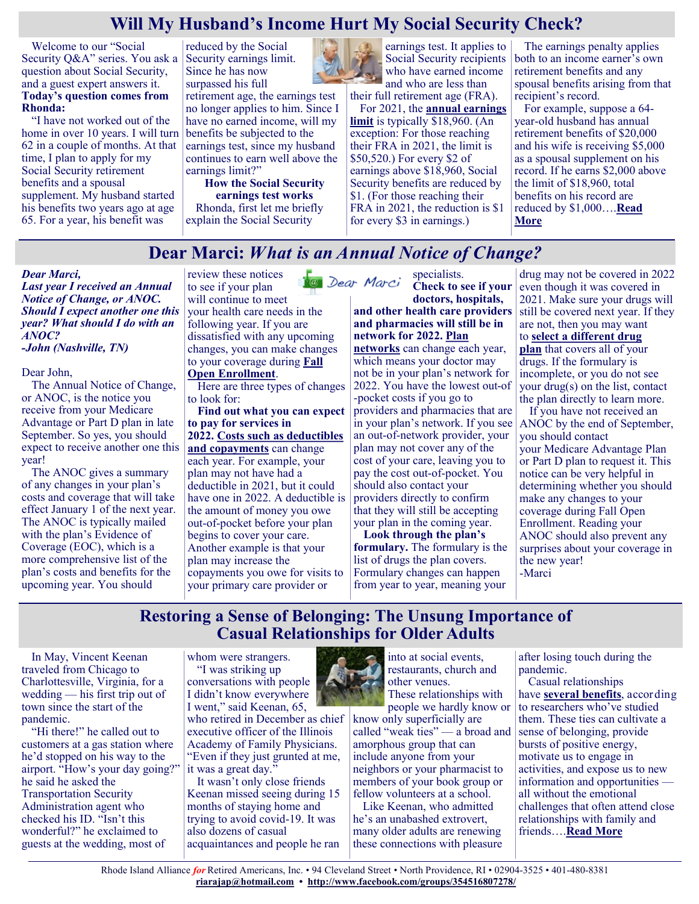## **Will My Husband's Income Hurt My Social Security Check?**

Welcome to our "Social Security Q&A" series. You ask a question about Social Security, and a guest expert answers it. **Today's question comes from Rhonda:**

"I have not worked out of the home in over 10 years. I will turn 62 in a couple of months. At that time, I plan to apply for my Social Security retirement benefits and a spousal supplement. My husband started his benefits two years ago at age 65. For a year, his benefit was

reduced by the Social Security earnings limit. Since he has now surpassed his full

retirement age, the earnings test no longer applies to him. Since I have no earned income, will my benefits be subjected to the earnings test, since my husband continues to earn well above the earnings limit?"

**How the Social Security earnings test works** Rhonda, first let me briefly explain the Social Security



earnings test. It applies to Social Security recipients who have earned income and who are less than their full retirement age (FRA).

For 2021, the **[annual earnings](https://www.ssa.gov/cola/)  [limit](https://www.ssa.gov/cola/)** is typically \$18,960. (An exception: For those reaching their FRA in 2021, the limit is \$50,520.) For every \$2 of earnings above \$18,960, Social Security benefits are reduced by \$1. (For those reaching their FRA in 2021, the reduction is \$1 for every \$3 in earnings.)

The earnings penalty applies both to an income earner's own retirement benefits and any spousal benefits arising from that recipient's record.

For example, suppose a 64 year-old husband has annual retirement benefits of \$20,000 and his wife is receiving \$5,000 as a spousal supplement on his record. If he earns \$2,000 above the limit of \$18,960, total benefits on his record are reduced by \$1,000….**[Read](https://www.msn.com/en-us/money/retirement/will-my-husband-s-income-hurt-my-social-security-check/ar-AAMH01Z?ocid=SK2DDHP)  [More](https://www.msn.com/en-us/money/retirement/will-my-husband-s-income-hurt-my-social-security-check/ar-AAMH01Z?ocid=SK2DDHP)**

## **Dear Marci:** *What is an Annual Notice of Change?*

*Dear Marci, Last year I received an Annual Notice of Change, or ANOC. Should I expect another one this year? What should I do with an ANOC?*

*-John (Nashville, TN)*

#### Dear John,

The Annual Notice of Change, or ANOC, is the notice you receive from your Medicare Advantage or Part D plan in late September. So yes, you should expect to receive another one this year!

The ANOC gives a summary of any changes in your plan's costs and coverage that will take effect January 1 of the next year. The ANOC is typically mailed with the plan's Evidence of Coverage (EOC), which is a more comprehensive list of the plan's costs and benefits for the upcoming year. You should

review these notices 1<sup>0</sup> Dear Marci to see if your plan will continue to meet your health care needs in the following year. If you are dissatisfied with any upcoming changes, you can make changes to your coverage during **[Fall](https://medicarerights.us15.list-manage.com/track/click?u=1621f54a596f3717c22815356&id=1cdbe3375a&e=88d22ba1fe)  [Open Enrollment](https://medicarerights.us15.list-manage.com/track/click?u=1621f54a596f3717c22815356&id=1cdbe3375a&e=88d22ba1fe)**.

Here are three types of changes to look for:

**Find out what you can expect to pay for services in 2022. [Costs such as deductibles](https://medicarerights.us15.list-manage.com/track/click?u=1621f54a596f3717c22815356&id=3e2361d035&e=88d22ba1fe)  [and copayments](https://medicarerights.us15.list-manage.com/track/click?u=1621f54a596f3717c22815356&id=3e2361d035&e=88d22ba1fe)** can change

each year. For example, your plan may not have had a deductible in 2021, but it could have one in 2022. A deductible is the amount of money you owe out-of-pocket before your plan begins to cover your care. Another example is that your plan may increase the copayments you owe for visits to your primary care provider or

specialists.

**Check to see if your doctors, hospitals, and other health care providers and pharmacies will still be in network for 2022. [Plan](https://medicarerights.us15.list-manage.com/track/click?u=1621f54a596f3717c22815356&id=1f646c4552&e=88d22ba1fe)  [networks](https://medicarerights.us15.list-manage.com/track/click?u=1621f54a596f3717c22815356&id=1f646c4552&e=88d22ba1fe)** can change each year, which means your doctor may not be in your plan's network for 2022. You have the lowest out-of -pocket costs if you go to providers and pharmacies that are in your plan's network. If you see an out-of-network provider, your plan may not cover any of the cost of your care, leaving you to pay the cost out-of-pocket. You should also contact your providers directly to confirm that they will still be accepting your plan in the coming year.

**Look through the plan's formulary.** The formulary is the list of drugs the plan covers. Formulary changes can happen from year to year, meaning your

drug may not be covered in 2022 even though it was covered in 2021. Make sure your drugs will still be covered next year. If they are not, then you may want to **[select a different drug](https://medicarerights.us15.list-manage.com/track/click?u=1621f54a596f3717c22815356&id=aa366b28ab&e=88d22ba1fe)  [plan](https://medicarerights.us15.list-manage.com/track/click?u=1621f54a596f3717c22815356&id=aa366b28ab&e=88d22ba1fe)** that covers all of your drugs. If the formulary is incomplete, or you do not see your drug(s) on the list, contact the plan directly to learn more.

If you have not received an ANOC by the end of September, you should contact your Medicare Advantage Plan or Part D plan to request it. This notice can be very helpful in determining whether you should make any changes to your coverage during Fall Open Enrollment. Reading your ANOC should also prevent any surprises about your coverage in the new year! -Marci

### **Restoring a Sense of Belonging: The Unsung Importance of Casual Relationships for Older Adults**

In May, Vincent Keenan traveled from Chicago to Charlottesville, Virginia, for a wedding — his first trip out of town since the start of the pandemic.

"Hi there!" he called out to customers at a gas station where he'd stopped on his way to the airport. "How's your day going?" he said he asked the Transportation Security Administration agent who checked his ID. "Isn't this wonderful?" he exclaimed to guests at the wedding, most of

whom were strangers. "I was striking up conversations with people I didn't know everywhere

I went," said Keenan, 65, who retired in December as chief executive officer of the Illinois Academy of Family Physicians. "Even if they just grunted at me, it was a great day."

It wasn't only close friends Keenan missed seeing during 15 months of staying home and trying to avoid covid-19. It was also dozens of casual acquaintances and people he ran



into at social events, restaurants, church and other venues. These relationships with

people we hardly know or know only superficially are called "weak ties" — a broad and amorphous group that can include anyone from your neighbors or your pharmacist to members of your book group or fellow volunteers at a school.

Like Keenan, who admitted he's an unabashed extrovert, many older adults are renewing these connections with pleasure

after losing touch during the pandemic.

Casual relationships have **[several benefits](https://onlinelibrary.wiley.com/doi/abs/10.1111/j.1756-2589.2009.00010.x)**, according to researchers who've studied them. These ties can cultivate a sense of belonging, provide bursts of positive energy, motivate us to engage in activities, and expose us to new information and opportunities all without the emotional challenges that often attend close relationships with family and friends….**[Read More](https://khn.org/news/article/casual-relationships-vital-older-adults-sense-of-belonging-post-pandemic/)**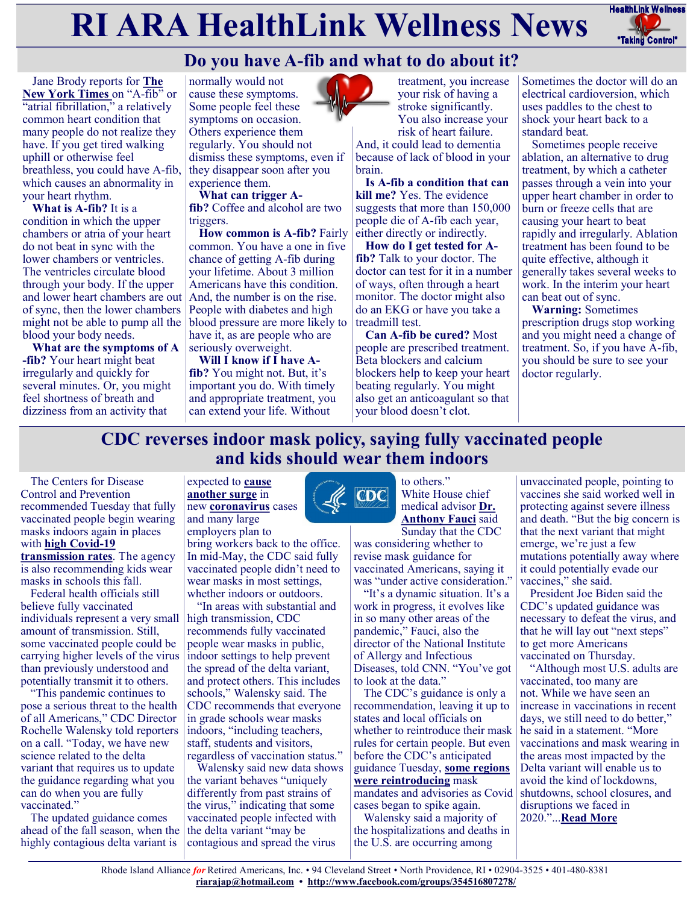# **RI ARA HealthLink Wellness News** FealthLink Wellness



# **Do you have A-fib and what to do about it?**

Jane Brody reports for **[The](https://www.nytimes.com/2021/07/26/well/live/afib-warning-signs.html)  [New York Times](https://www.nytimes.com/2021/07/26/well/live/afib-warning-signs.html)** on "A-fib" or "atrial fibrillation," a relatively common heart condition that many people do not realize they have. If you get tired walking uphill or otherwise feel breathless, you could have A-fib, which causes an abnormality in your heart rhythm.

**What is A-fib?** It is a condition in which the upper chambers or atria of your heart do not beat in sync with the lower chambers or ventricles. The ventricles circulate blood through your body. If the upper and lower heart chambers are out of sync, then the lower chambers might not be able to pump all the blood your body needs.

**What are the symptoms of A -fib?** Your heart might beat irregularly and quickly for several minutes. Or, you might feel shortness of breath and dizziness from an activity that

normally would not cause these symptoms. Some people feel these symptoms on occasion. Others experience them regularly. You should not dismiss these symptoms, even if they disappear soon after you experience them.

**What can trigger Afib?** Coffee and alcohol are two triggers.

**How common is A-fib?** Fairly common. You have a one in five chance of getting A-fib during your lifetime. About 3 million Americans have this condition. And, the number is on the rise. People with diabetes and high blood pressure are more likely to have it, as are people who are seriously overweight.

**Will I know if I have Afib?** You might not. But, it's important you do. With timely and appropriate treatment, you can extend your life. Without



treatment, you increase your risk of having a stroke significantly. You also increase your risk of heart failure.

And, it could lead to dementia because of lack of blood in your brain.

**Is A-fib a condition that can kill me?** Yes. The evidence suggests that more than 150,000 people die of A-fib each year, either directly or indirectly.

**How do I get tested for Afib?** Talk to your doctor. The doctor can test for it in a number of ways, often through a heart monitor. The doctor might also do an EKG or have you take a treadmill test.

**Can A-fib be cured?** Most people are prescribed treatment. Beta blockers and calcium blockers help to keep your heart beating regularly. You might also get an anticoagulant so that your blood doesn't clot.

Sometimes the doctor will do an electrical cardioversion, which uses paddles to the chest to shock your heart back to a standard beat.

Sometimes people receive ablation, an alternative to drug treatment, by which a catheter passes through a vein into your upper heart chamber in order to burn or freeze cells that are causing your heart to beat rapidly and irregularly. Ablation treatment has been found to be quite effective, although it generally takes several weeks to work. In the interim your heart can beat out of sync.

**Warning:** Sometimes prescription drugs stop working and you might need a change of treatment. So, if you have A-fib, you should be sure to see your doctor regularly.

## **CDC reverses indoor mask policy, saying fully vaccinated people and kids should wear them indoors**

The Centers for Disease Control and Prevention recommended Tuesday that fully vaccinated people begin wearing masks indoors again in places with **[high Covid](https://www.cnbc.com/2021/07/23/covid-cases-are-rising-again-in-all-50-states-across-us-as-delta-variant-tightens-its-grip.html)-19 [transmission rates](https://www.cnbc.com/2021/07/23/covid-cases-are-rising-again-in-all-50-states-across-us-as-delta-variant-tightens-its-grip.html)**. The agency is also recommending kids wear masks in schools this fall.

Federal health officials still believe fully vaccinated individuals represent a very small amount of transmission. Still, some vaccinated people could be carrying higher levels of the virus than previously understood and potentially transmit it to others.

"This pandemic continues to pose a serious threat to the health of all Americans," CDC Director Rochelle Walensky told reporters on a call. "Today, we have new science related to the delta variant that requires us to update the guidance regarding what you can do when you are fully vaccinated."

The updated guidance comes ahead of the fall season, when the highly contagious delta variant is

expected to **[cause](https://www.cnbc.com/2021/07/08/us-heading-for-dangerous-fall-with-surge-in-delta-covid-cases-and-return-of-indoor-mask-mandates.html)  [another surge](https://www.cnbc.com/2021/07/08/us-heading-for-dangerous-fall-with-surge-in-delta-covid-cases-and-return-of-indoor-mask-mandates.html)** in new **[coronavirus](https://www.cnbc.com/coronavirus/)** cases and many large

employers plan to bring workers back to the office. In mid-May, the CDC said fully vaccinated people didn't need to

wear masks in most settings, whether indoors or outdoors.

"In areas with substantial and high transmission, CDC recommends fully vaccinated people wear masks in public, indoor settings to help prevent the spread of the delta variant, and protect others. This includes schools," Walensky said. The CDC recommends that everyone in grade schools wear masks indoors, "including teachers, staff, students and visitors,

regardless of vaccination status." Walensky said new data shows the variant behaves "uniquely differently from past strains of the virus," indicating that some vaccinated people infected with the delta variant "may be contagious and spread the virus



to others." White House chief medical advisor **[Dr.](https://www.cnbc.com/2021/07/21/delta-covid-variant-fauci-says-vaccinated-people-might-want-to-consider-wearing-masks-indoors-.html)  [Anthony Fauci](https://www.cnbc.com/2021/07/21/delta-covid-variant-fauci-says-vaccinated-people-might-want-to-consider-wearing-masks-indoors-.html)** said

Sunday that the CDC was considering whether to revise mask guidance for vaccinated Americans, saying it was "under active consideration."

"It's a dynamic situation. It's a work in progress, it evolves like in so many other areas of the pandemic," Fauci, also the director of the National Institute of Allergy and Infectious Diseases, told CNN. "You've got to look at the data."

The CDC's guidance is only a recommendation, leaving it up to states and local officials on whether to reintroduce their mask rules for certain people. But even before the CDC's anticipated guidance Tuesday, **[some regions](https://www.cnbc.com/2021/07/21/covid-local-officials-across-us-are-starting-to-reimpose-mask-rules-as-delta-variant-takes-hold.html)  [were reintroducing](https://www.cnbc.com/2021/07/21/covid-local-officials-across-us-are-starting-to-reimpose-mask-rules-as-delta-variant-takes-hold.html)** mask mandates and advisories as Covid cases began to spike again.

Walensky said a majority of the hospitalizations and deaths in the U.S. are occurring among

unvaccinated people, pointing to vaccines she said worked well in protecting against severe illness and death. "But the big concern is that the next variant that might emerge, we're just a few mutations potentially away where it could potentially evade our vaccines," she said.

President Joe Biden said the CDC's updated guidance was necessary to defeat the virus, and that he will lay out "next steps" to get more Americans vaccinated on Thursday.

"Although most U.S. adults are vaccinated, too many are not. While we have seen an increase in vaccinations in recent days, we still need to do better," he said in a statement. "More vaccinations and mask wearing in the areas most impacted by the Delta variant will enable us to avoid the kind of lockdowns, shutdowns, school closures, and disruptions we faced in 2020."...**[Read More](https://www.cnbc.com/2021/07/27/cdc-to-reverse-indoor-mask-policy-to-recommend-them-for-fully-vaccinated-people-in-covid-hot-spots.html)**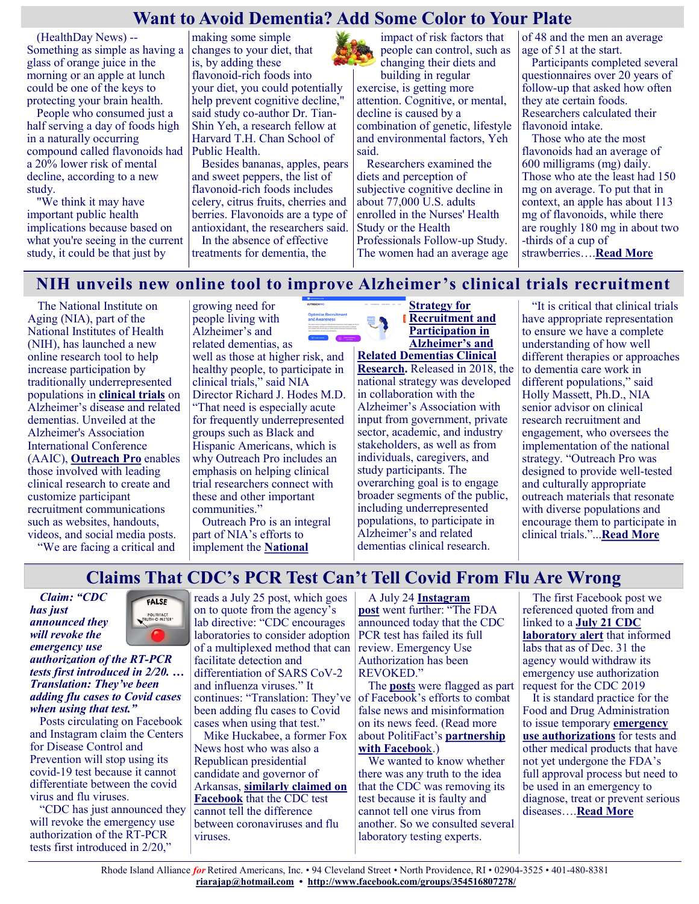## **Want to Avoid Dementia? Add Some Color to Your Plate**

(HealthDay News) -- Something as simple as having a glass of orange juice in the morning or an apple at lunch could be one of the keys to protecting your brain health.

People who consumed just a half serving a day of foods high in a naturally occurring compound called flavonoids had a 20% lower risk of mental decline, according to a new study.

"We think it may have important public health implications because based on what you're seeing in the current study, it could be that just by

making some simple changes to your diet, that is, by adding these flavonoid-rich foods into your diet, you could potentially help prevent cognitive decline," said study co-author Dr. Tian-Shin Yeh, a research fellow at Harvard T.H. Chan School of Public Health.

Besides bananas, apples, pears and sweet peppers, the list of flavonoid-rich foods includes celery, citrus fruits, cherries and berries. Flavonoids are a type of antioxidant, the researchers said.

In the absence of effective treatments for dementia, the

impact of risk factors that people can control, such as changing their diets and

building in regular exercise, is getting more attention. Cognitive, or mental, decline is caused by a combination of genetic, lifestyle and environmental factors, Yeh said.

Researchers examined the diets and perception of subjective cognitive decline in about 77,000 U.S. adults enrolled in the Nurses' Health Study or the Health Professionals Follow-up Study. The women had an average age of 48 and the men an average age of 51 at the start.

Participants completed several questionnaires over 20 years of follow-up that asked how often they ate certain foods. Researchers calculated their flavonoid intake.

Those who ate the most flavonoids had an average of 600 milligrams (mg) daily. Those who ate the least had 150 mg on average. To put that in context, an apple has about 113 mg of flavonoids, while there are roughly 180 mg in about two -thirds of a cup of strawberries….**[Read More](https://consumer.healthday.com/7-29-want-to-avoid-dementia-add-some-color-to-your-plate-2653978260.html)**

### **NIH unveils new online tool to improve Alzheimer's clinical trials recruitment**

The National Institute on Aging (NIA), part of the National Institutes of Health (NIH), has launched a new online research tool to help increase participation by traditionally underrepresented populations in **[clinical trials](https://www.alzheimers.gov/taking-action/volunteer)** on Alzheimer's disease and related dementias. Unveiled at the Alzheimer's Association International Conference (AAIC), **[Outreach Pro](https://outreachpro.nia.nih.gov/)** enables those involved with leading clinical research to create and customize participant recruitment communications such as websites, handouts, videos, and social media posts.

"We are facing a critical and

growing need for people living with Alzheimer's and related dementias, as

well as those at higher risk, and healthy people, to participate in clinical trials," said NIA Director Richard J. Hodes M.D. "That need is especially acute for frequently underrepresented groups such as Black and Hispanic Americans, which is why Outreach Pro includes an emphasis on helping clinical trial researchers connect with these and other important communities."

Outreach Pro is an integral part of NIA's efforts to implement the **[National](https://www.nia.nih.gov/research/recruitment-strategy)** 



**[Strategy for](https://www.nia.nih.gov/research/recruitment-strategy)  [Recruitment and](https://www.nia.nih.gov/research/recruitment-strategy)  [Participation in](https://www.nia.nih.gov/research/recruitment-strategy)  [Alzheimer's and](https://www.nia.nih.gov/research/recruitment-strategy)** 

**[Related Dementias Clinical](https://www.nia.nih.gov/research/recruitment-strategy)  [Research.](https://www.nia.nih.gov/research/recruitment-strategy)** Released in 2018, the national strategy was developed in collaboration with the Alzheimer's Association with input from government, private sector, academic, and industry stakeholders, as well as from individuals, caregivers, and study participants. The overarching goal is to engage broader segments of the public, including underrepresented populations, to participate in Alzheimer's and related dementias clinical research.

"It is critical that clinical trials have appropriate representation to ensure we have a complete understanding of how well different therapies or approaches to dementia care work in different populations," said Holly Massett, Ph.D., NIA senior advisor on clinical research recruitment and engagement, who oversees the implementation of the national strategy. "Outreach Pro was designed to provide well-tested and culturally appropriate outreach materials that resonate with diverse populations and encourage them to participate in clinical trials."...**[Read More](https://www.nia.nih.gov/news/nih-unveils-new-online-tool-improve-alzheimers-clinical-trials-recruitment)**

## **Claims That CDC's PCR Test Can't Tell Covid From Flu Are Wrong**

*Claim: "CDC has just announced they will revoke the emergency use* 



*authorization of the RT-PCR tests first introduced in 2/20. … Translation: They've been adding flu cases to Covid cases when using that test."*

Posts circulating on Facebook and Instagram claim the Centers for Disease Control and Prevention will stop using its covid-19 test because it cannot differentiate between the covid virus and flu viruses.

"CDC has just announced they will revoke the emergency use authorization of the RT-PCR tests first introduced in 2/20,"

reads a July 25 post, which goes on to quote from the agency's lab directive: "CDC encourages laboratories to consider adoption of a multiplexed method that can review. Emergency Use facilitate detection and differentiation of SARS CoV-2 and influenza viruses." It continues: "Translation: They've been adding flu cases to Covid cases when using that test."

Mike Huckabee, a former Fox News host who was also a Republican presidential candidate and governor of Arkansas, **[similarly claimed on](https://www.facebook.com/mikehuckabee/posts/378945023600334?__xts__%5b0%5d=68.ARANcu_GZcP1Utmm59ljHjjRrXtyYzA3QxNM5HRQOGMqAupp07evJRDGBxJNPxQudM7VXmmPJoRJnIm_XBen8oQoMP6N3V3-IQZLi_vdKE_mEOKnfGR5JSvZ_hljXLuMqYgyN_womRe1YUi-_jJ9Pdf7pw2RNyrWCA1NqbxKlatNL665z2Snx)  [Facebook](https://www.facebook.com/mikehuckabee/posts/378945023600334?__xts__%5b0%5d=68.ARANcu_GZcP1Utmm59ljHjjRrXtyYzA3QxNM5HRQOGMqAupp07evJRDGBxJNPxQudM7VXmmPJoRJnIm_XBen8oQoMP6N3V3-IQZLi_vdKE_mEOKnfGR5JSvZ_hljXLuMqYgyN_womRe1YUi-_jJ9Pdf7pw2RNyrWCA1NqbxKlatNL665z2Snx)** that the CDC test cannot tell the difference between coronaviruses and flu viruses.

A July 24 **[Instagram](https://www.instagram.com/p/CRtr_knoF4v/)  [post](https://www.instagram.com/p/CRtr_knoF4v/)** went further: "The FDA announced today that the CDC PCR test has failed its full Authorization has been REVOKED."

The **[post](https://www.facebook.com/permalink.php?story_fbid=4135007173243053&id=568187893258350&__xts__%5b0%5d=68.ARAZ95WrtwSmJ_nLsLRX3ZPqj8bFsPnL1X42SyjqVkACHPx-NAMucxIJ__6COVY29WKyveV2jfcwyAJ98gz4Xi1yoNYoFVNre9D_wB09m2ibMS8CHCcytZ-fjnnQExQQXaSMrwoaA3YZiNgP1jlFjucVtX2)**s were flagged as part of Facebook's efforts to combat false news and misinformation on its news feed. (Read more about PolitiFact's **[partnership](https://www.facebook.com/help/1952307158131536?helpref=related)  [with Faceboo](https://www.facebook.com/help/1952307158131536?helpref=related)**k.)

We wanted to know whether there was any truth to the idea that the CDC was removing its test because it is faulty and cannot tell one virus from another. So we consulted several laboratory testing experts.

The first Facebook post we referenced quoted from and linked to a **[July 21 CDC](https://www.cdc.gov/csels/dls/locs/2021/07-21-2021-lab-alert-Changes_CDC_RT-PCR_SARS-CoV-2_Testing_1.html)  [laboratory alert](https://www.cdc.gov/csels/dls/locs/2021/07-21-2021-lab-alert-Changes_CDC_RT-PCR_SARS-CoV-2_Testing_1.html)** that informed labs that as of Dec. 31 the agency would withdraw its emergency use authorization request for the CDC 2019

It is standard practice for the Food and Drug Administration to issue temporary **[emergency](https://www.fda.gov/emergency-preparedness-and-response/mcm-legal-regulatory-and-policy-framework/emergency-use-authorization)  [use authorizations](https://www.fda.gov/emergency-preparedness-and-response/mcm-legal-regulatory-and-policy-framework/emergency-use-authorization)** for tests and other medical products that have not yet undergone the FDA's full approval process but need to be used in an emergency to diagnose, treat or prevent serious diseases….**[Read More](https://khn.org/news/article/fact-check-cdc-pcr-covid-test-distinguishes-from-flu-eua-request-withdrawal/)**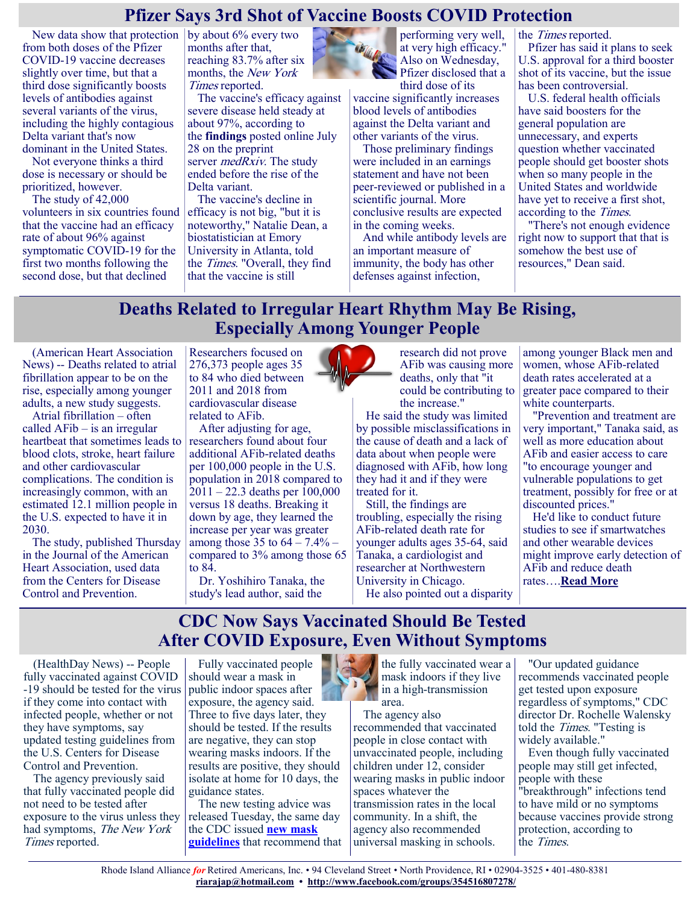### **Pfizer Says 3rd Shot of Vaccine Boosts COVID Protection**

New data show that protection  $\vert$  by about 6% every two from both doses of the Pfizer COVID-19 vaccine decreases slightly over time, but that a third dose significantly boosts levels of antibodies against several variants of the virus, including the highly contagious Delta variant that's now dominant in the United States.

Not everyone thinks a third dose is necessary or should be prioritized, however.

The study of 42,000 volunteers in six countries found that the vaccine had an efficacy rate of about 96% against symptomatic COVID-19 for the first two months following the second dose, but that declined

months after that, reaching 83.7% after six months, the New York Times reported.

The vaccine's efficacy against severe disease held steady at about 97%, according to the **[findings](https://www.medrxiv.org/content/10.1101/2021.07.28.21261159v1)** posted online July 28 on the preprint server *medRxiv*. The study ended before the rise of the Delta variant.

The vaccine's decline in efficacy is not big, "but it is noteworthy," Natalie Dean, a biostatistician at Emory University in Atlanta, told the Times. "Overall, they find that the vaccine is still



performing very well, at very high efficacy." Also on Wednesday, Pfizer disclosed that a third dose of its

vaccine significantly increases blood levels of antibodies against the Delta variant and other variants of the virus.

Those preliminary findings were included in an earnings statement and have not been peer-reviewed or published in a scientific journal. More conclusive results are expected in the coming weeks.

And while antibody levels are an important measure of immunity, the body has other defenses against infection,

the Times reported.

Pfizer has said it plans to seek U.S. approval for a third booster shot of its vaccine, but the issue has been controversial.

U.S. federal health officials have said boosters for the general population are unnecessary, and experts question whether vaccinated people should get booster shots when so many people in the United States and worldwide have yet to receive a first shot, according to the Times.

"There's not enough evidence right now to support that that is somehow the best use of resources," Dean said.

## **Deaths Related to Irregular Heart Rhythm May Be Rising, Especially Among Younger People**

(American Heart Association News) -- Deaths related to atrial fibrillation appear to be on the rise, especially among younger adults, a new study suggests.

Atrial fibrillation – often called AFib – is an irregular heartbeat that sometimes leads to blood clots, stroke, heart failure and other cardiovascular complications. The condition is increasingly common, with an estimated 12.1 million people in the U.S. expected to have it in 2030.

The study, published Thursday in the Journal of the American Heart Association, used data from the Centers for Disease Control and Prevention.

Researchers focused on 276,373 people ages 35 to 84 who died between 2011 and 2018 from cardiovascular disease related to AFib.

After adjusting for age, researchers found about four additional AFib-related deaths per 100,000 people in the U.S. population in 2018 compared to 2011 – 22.3 deaths per 100,000 versus 18 deaths. Breaking it down by age, they learned the increase per year was greater among those 35 to 64 – 7.4% – compared to 3% among those 65 to 84.

Dr. Yoshihiro Tanaka, the study's lead author, said the

research did not prove AFib was causing more deaths, only that "it could be contributing to the increase."

He said the study was limited by possible misclassifications in the cause of death and a lack of data about when people were diagnosed with AFib, how long they had it and if they were treated for it.

Still, the findings are troubling, especially the rising AFib-related death rate for younger adults ages 35-64, said Tanaka, a cardiologist and researcher at Northwestern University in Chicago. He also pointed out a disparity

among younger Black men and women, whose AFib-related death rates accelerated at a greater pace compared to their white counterparts.

"Prevention and treatment are very important," Tanaka said, as well as more education about AFib and easier access to care "to encourage younger and vulnerable populations to get treatment, possibly for free or at discounted prices."

He'd like to conduct future studies to see if smartwatches and other wearable devices might improve early detection of AFib and reduce death rates….**[Read More](https://consumer.healthday.com/aha-news-deaths-related-to-irregular-heart-rhythm-may-be-rising-especially-among-younger-people-2654241404.html)**

### **CDC Now Says Vaccinated Should Be Tested After COVID Exposure, Even Without Symptoms**

(HealthDay News) -- People fully vaccinated against COVID -19 should be tested for the virus if they come into contact with infected people, whether or not they have symptoms, say updated testing guidelines from the U.S. Centers for Disease Control and Prevention.

The agency previously said that fully vaccinated people did not need to be tested after exposure to the virus unless they had symptoms, The New York Times reported.

Fully vaccinated people should wear a mask in public indoor spaces after exposure, the agency said. Three to five days later, they should be tested. If the results are negative, they can stop wearing masks indoors. If the results are positive, they should isolate at home for 10 days, the guidance states.

The new testing advice was released Tuesday, the same day the CDC issued **[new mask](https://www.cdc.gov/coronavirus/2019-ncov/vaccines/fully-vaccinated.html)  [guidelines](https://www.cdc.gov/coronavirus/2019-ncov/vaccines/fully-vaccinated.html)** that recommend that



The agency also recommended that vaccinated people in close contact with unvaccinated people, including children under 12, consider wearing masks in public indoor spaces whatever the transmission rates in the local community. In a shift, the agency also recommended universal masking in schools.

"Our updated guidance recommends vaccinated people get tested upon exposure regardless of symptoms," CDC director Dr. Rochelle Walensky told the Times. "Testing is widely available."

Even though fully vaccinated people may still get infected, people with these "breakthrough" infections tend to have mild or no symptoms because vaccines provide strong protection, according to the Times.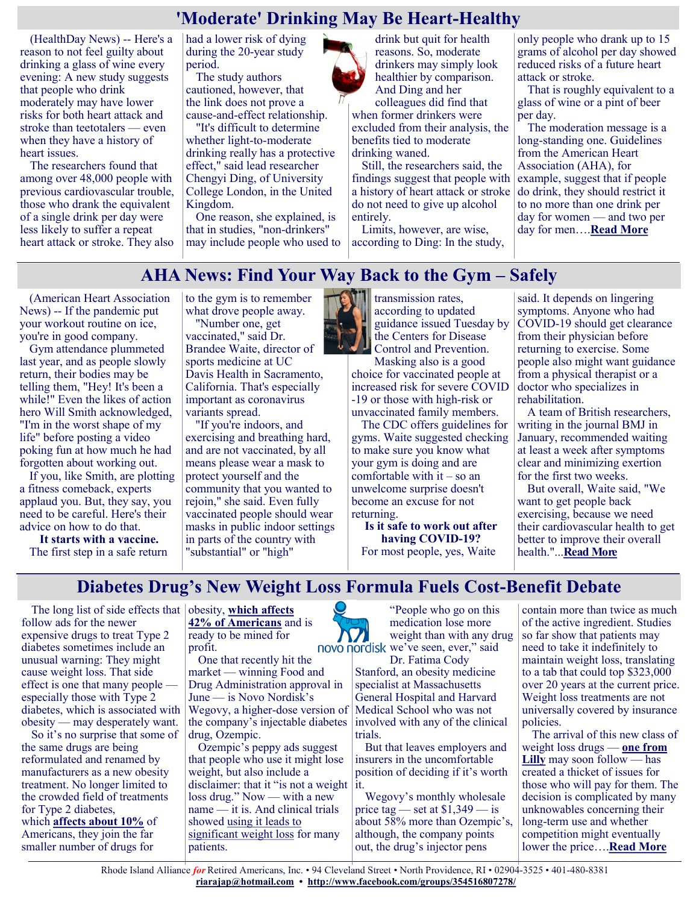## **'Moderate' Drinking May Be Heart-Healthy**

(HealthDay News) -- Here's a reason to not feel guilty about drinking a glass of wine every evening: A new study suggests that people who drink moderately may have lower risks for both heart attack and stroke than teetotalers — even when they have a history of heart issues.

The researchers found that among over 48,000 people with previous cardiovascular trouble, those who drank the equivalent of a single drink per day were less likely to suffer a repeat heart attack or stroke. They also had a lower risk of dying during the 20-year study period.

The study authors cautioned, however, that the link does not prove a cause-and-effect relationship.

"It's difficult to determine whether light-to-moderate drinking really has a protective effect," said lead researcher Chengyi Ding, of University College London, in the United Kingdom.

One reason, she explained, is that in studies, "non-drinkers" may include people who used to

drink but quit for health reasons. So, moderate drinkers may simply look healthier by comparison. And Ding and her colleagues did find that

when former drinkers were excluded from their analysis, the benefits tied to moderate drinking waned.

Still, the researchers said, the findings suggest that people with a history of heart attack or stroke do not need to give up alcohol entirely.

Limits, however, are wise, according to Ding: In the study, only people who drank up to 15 grams of alcohol per day showed reduced risks of a future heart attack or stroke.

That is roughly equivalent to a glass of wine or a pint of beer per day.

The moderation message is a long-standing one. Guidelines from the American Heart Association (AHA), for example, suggest that if people do drink, they should restrict it to no more than one drink per day for women — and two per day for men….**[Read More](https://consumer.healthday.com/7-28-2653895537.html)**

### **AHA News: Find Your Way Back to the Gym – Safely**

(American Heart Association News) -- If the pandemic put your workout routine on ice, you're in good company.

Gym attendance plummeted last year, and as people slowly return, their bodies may be telling them, "Hey! It's been a while!" Even the likes of action hero Will Smith acknowledged, "I'm in the worst shape of my life" before posting a video poking fun at how much he had forgotten about working out.

If you, like Smith, are plotting a fitness comeback, experts applaud you. But, they say, you need to be careful. Here's their advice on how to do that.

**It starts with a vaccine.** The first step in a safe return to the gym is to remember what drove people away.

"Number one, get vaccinated," said Dr. Brandee Waite, director of sports medicine at UC Davis Health in Sacramento, California. That's especially important as coronavirus variants spread.

"If you're indoors, and exercising and breathing hard, and are not vaccinated, by all means please wear a mask to protect yourself and the community that you wanted to rejoin," she said. Even fully vaccinated people should wear masks in public indoor settings in parts of the country with "substantial" or "high"



transmission rates, according to updated guidance issued Tuesday by the Centers for Disease Control and Prevention.

Masking also is a good choice for vaccinated people at increased risk for severe COVID -19 or those with high-risk or unvaccinated family members.

The CDC offers guidelines for gyms. Waite suggested checking to make sure you know what your gym is doing and are comfortable with it – so an unwelcome surprise doesn't become an excuse for not returning.

**Is it safe to work out after having COVID-19?** For most people, yes, Waite

said. It depends on lingering symptoms. Anyone who had COVID-19 should get clearance from their physician before returning to exercise. Some people also might want guidance from a physical therapist or a doctor who specializes in rehabilitation.

A team of British researchers, writing in the journal BMJ in January, recommended waiting at least a week after symptoms clear and minimizing exertion for the first two weeks.

But overall, Waite said, "We want to get people back exercising, because we need their cardiovascular health to get better to improve their overall health."...**[Read More](https://consumer.healthday.com/aha-news-find-your-way-back-to-the-gym-safely-2654152996.html)**

**Diabetes Drug's New Weight Loss Formula Fuels Cost-Benefit Debate**

The long list of side effects that obesity, which affects follow ads for the newer expensive drugs to treat Type 2 diabetes sometimes include an unusual warning: They might cause weight loss. That side effect is one that many people especially those with Type 2 diabetes, which is associated with obesity — may desperately want.

So it's no surprise that some of the same drugs are being reformulated and renamed by manufacturers as a new obesity treatment. No longer limited to the crowded field of treatments for Type 2 diabetes, which **[affects about 10%](https://www.cdc.gov/diabetes/basics/type2.html#:~:text=More%20than%2034%20million%20Americans,them%20have%20type%202%20diabetes.)** of Americans, they join the far smaller number of drugs for

**[42% of Americans](https://www.cdc.gov/nchs/fastats/obesity-overweight.htm)** and is ready to be mined for profit.

One that recently hit the market — winning Food and Drug Administration approval in June — is Novo Nordisk's Wegovy, a higher-dose version of the company's injectable diabetes drug, Ozempic.

Ozempic's peppy ads suggest that people who use it might lose weight, but also include a disclaimer: that it "is not a weight loss drug." Now — with a new name — it is. And clinical trials showed [using it leads to](https://www.nejm.org/doi/10.1056/NEJMoa2032183)  [significant weight loss](https://www.nejm.org/doi/10.1056/NEJMoa2032183) for many patients.

"People who go on this medication lose more weight than with any drug novo nordisk we've seen, ever," said

Dr. Fatima Cody Stanford, an obesity medicine specialist at Massachusetts General Hospital and Harvard Medical School who was not involved with any of the clinical trials.

But that leaves employers and insurers in the uncomfortable position of deciding if it's worth it.

Wegovy's monthly wholesale price tag — set at  $$1,349$  — is about 58% more than Ozempic's, although, the company points out, the drug's injector pens

contain more than twice as much of the active ingredient. Studies so far show that patients may need to take it indefinitely to maintain weight loss, translating to a tab that could top \$323,000 over 20 years at the current price. Weight loss treatments are not universally covered by insurance policies.

The arrival of this new class of weight loss drugs — **[one from](https://investor.lilly.com/news-releases/news-release-details/lillys-tirzepatide-achieves-all-primary-and-key-secondary-study)  [Lilly](https://investor.lilly.com/news-releases/news-release-details/lillys-tirzepatide-achieves-all-primary-and-key-secondary-study)** may soon follow — has created a thicket of issues for those who will pay for them. The decision is complicated by many unknowables concerning their long-term use and whether competition might eventually lower the price….**[Read More](https://khn.org/news/article/diabetes-drug-wegovy-weight-management-cost-benefit-debate/)**